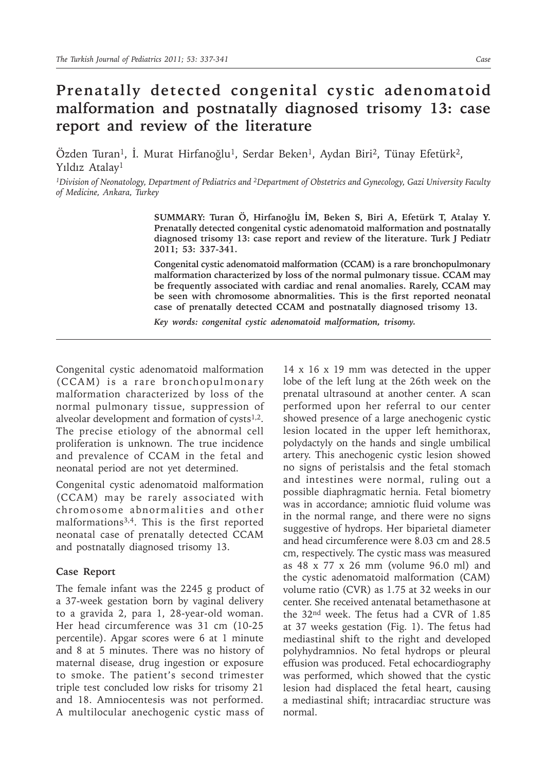## **Prenatally detected congenital cystic adenomatoid malformation and postnatally diagnosed trisomy 13: case report and review of the literature**

Özden Turan<sup>1</sup>, İ. Murat Hirfanoğlu<sup>1</sup>, Serdar Beken<sup>1</sup>, Aydan Biri<sup>2</sup>, Tünay Efetürk<sup>2</sup>, Yıldız Atalay1

*1Division of Neonatology, Department of Pediatrics and 2Department of Obstetrics and Gynecology, Gazi University Faculty of Medicine, Ankara, Turkey*

> **SUMMARY: Turan Ö, Hirfanoğlu İM, Beken S, Biri A, Efetürk T, Atalay Y. Prenatally detected congenital cystic adenomatoid malformation and postnatally diagnosed trisomy 13: case report and review of the literature. Turk J Pediatr 2011; 53: 337-341.**

> **Congenital cystic adenomatoid malformation (CCAM) is a rare bronchopulmonary malformation characterized by loss of the normal pulmonary tissue. CCAM may be frequently associated with cardiac and renal anomalies. Rarely, CCAM may be seen with chromosome abnormalities. This is the first reported neonatal case of prenatally detected CCAM and postnatally diagnosed trisomy 13.**

*Key words: congenital cystic adenomatoid malformation, trisomy.* 

Congenital cystic adenomatoid malformation (CCAM) is a rare bronchopulmonary malformation characterized by loss of the normal pulmonary tissue, suppression of alveolar development and formation of cysts $1,2$ . The precise etiology of the abnormal cell proliferation is unknown. The true incidence and prevalence of CCAM in the fetal and neonatal period are not yet determined.

Congenital cystic adenomatoid malformation (CCAM) may be rarely associated with chromosome abnormalities and other malformations3,4. This is the first reported neonatal case of prenatally detected CCAM and postnatally diagnosed trisomy 13.

## **Case Report**

The female infant was the 2245 g product of a 37-week gestation born by vaginal delivery to a gravida 2, para 1, 28-year-old woman. Her head circumference was 31 cm (10-25 percentile). Apgar scores were 6 at 1 minute and 8 at 5 minutes. There was no history of maternal disease, drug ingestion or exposure to smoke. The patient's second trimester triple test concluded low risks for trisomy 21 and 18. Amniocentesis was not performed. A multilocular anechogenic cystic mass of

14 x 16 x 19 mm was detected in the upper lobe of the left lung at the 26th week on the prenatal ultrasound at another center. A scan performed upon her referral to our center showed presence of a large anechogenic cystic lesion located in the upper left hemithorax, polydactyly on the hands and single umbilical artery. This anechogenic cystic lesion showed no signs of peristalsis and the fetal stomach and intestines were normal, ruling out a possible diaphragmatic hernia. Fetal biometry was in accordance; amniotic fluid volume was in the normal range, and there were no signs suggestive of hydrops. Her biparietal diameter and head circumference were 8.03 cm and 28.5 cm, respectively. The cystic mass was measured as 48 x 77 x 26 mm (volume 96.0 ml) and the cystic adenomatoid malformation (CAM) volume ratio (CVR) as 1.75 at 32 weeks in our center. She received antenatal betamethasone at the 32nd week. The fetus had a CVR of 1.85 at 37 weeks gestation (Fig. 1). The fetus had mediastinal shift to the right and developed polyhydramnios. No fetal hydrops or pleural effusion was produced. Fetal echocardiography was performed, which showed that the cystic lesion had displaced the fetal heart, causing a mediastinal shift; intracardiac structure was normal.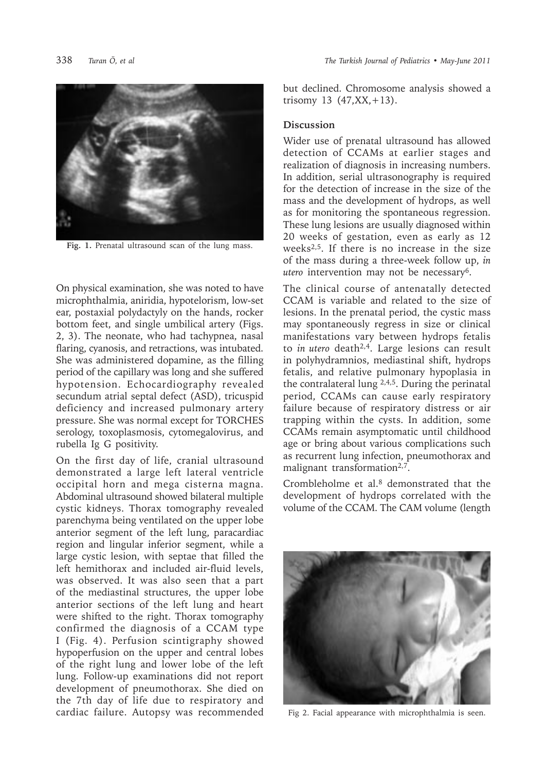

**Fig. 1.** Prenatal ultrasound scan of the lung mass.

On physical examination, she was noted to have microphthalmia, aniridia, hypotelorism, low-set ear, postaxial polydactyly on the hands, rocker bottom feet, and single umbilical artery (Figs. 2, 3). The neonate, who had tachypnea, nasal flaring, cyanosis, and retractions, was intubated. She was administered dopamine, as the filling period of the capillary was long and she suffered hypotension. Echocardiography revealed secundum atrial septal defect (ASD), tricuspid deficiency and increased pulmonary artery pressure. She was normal except for TORCHES serology, toxoplasmosis, cytomegalovirus, and rubella Ig G positivity.

On the first day of life, cranial ultrasound demonstrated a large left lateral ventricle occipital horn and mega cisterna magna. Abdominal ultrasound showed bilateral multiple cystic kidneys. Thorax tomography revealed parenchyma being ventilated on the upper lobe anterior segment of the left lung, paracardiac region and lingular inferior segment, while a large cystic lesion, with septae that filled the left hemithorax and included air-fluid levels, was observed. It was also seen that a part of the mediastinal structures, the upper lobe anterior sections of the left lung and heart were shifted to the right. Thorax tomography confirmed the diagnosis of a CCAM type I (Fig. 4). Perfusion scintigraphy showed hypoperfusion on the upper and central lobes of the right lung and lower lobe of the left lung. Follow-up examinations did not report development of pneumothorax. She died on the 7th day of life due to respiratory and cardiac failure. Autopsy was recommended but declined. Chromosome analysis showed a trisomy 13  $(47, XX, +13)$ .

## **Discussion**

Wider use of prenatal ultrasound has allowed detection of CCAMs at earlier stages and realization of diagnosis in increasing numbers. In addition, serial ultrasonography is required for the detection of increase in the size of the mass and the development of hydrops, as well as for monitoring the spontaneous regression. These lung lesions are usually diagnosed within 20 weeks of gestation, even as early as 12 weeks2,5. If there is no increase in the size of the mass during a three-week follow up, *in utero* intervention may not be necessary6.

The clinical course of antenatally detected CCAM is variable and related to the size of lesions. In the prenatal period, the cystic mass may spontaneously regress in size or clinical manifestations vary between hydrops fetalis to *in utero* death2,4. Large lesions can result in polyhydramnios, mediastinal shift, hydrops fetalis, and relative pulmonary hypoplasia in the contralateral lung  $2,4,5$ . During the perinatal period, CCAMs can cause early respiratory failure because of respiratory distress or air trapping within the cysts. In addition, some CCAMs remain asymptomatic until childhood age or bring about various complications such as recurrent lung infection, pneumothorax and malignant transformation<sup>2,7</sup>.

Crombleholme et al.8 demonstrated that the development of hydrops correlated with the volume of the CCAM. The CAM volume (length



Fig 2. Facial appearance with microphthalmia is seen.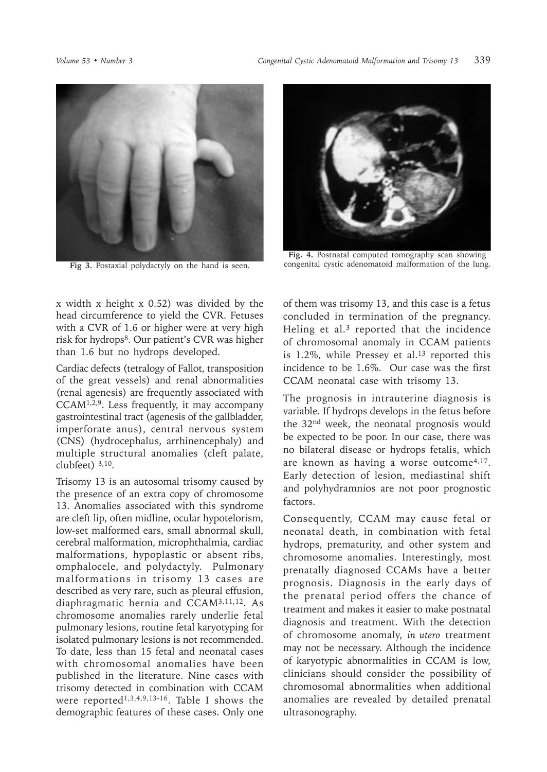

**Fig 3.** Postaxial polydactyly on the hand is seen.

x width x height x 0.52) was divided by the head circumference to yield the CVR. Fetuses with a CVR of 1.6 or higher were at very high risk for hydrops<sup>8</sup>. Our patient's CVR was higher than 1.6 but no hydrops developed.

Cardiac defects (tetralogy of Fallot, transposition of the great vessels) and renal abnormalities (renal agenesis) are frequently associated with CCAM1,2,9. Less frequently, it may accompany gastrointestinal tract (agenesis of the gallbladder, imperforate anus), central nervous system (CNS) (hydrocephalus, arrhinencephaly) and multiple structural anomalies (cleft palate, clubfeet) 3,10.

Trisomy 13 is an autosomal trisomy caused by the presence of an extra copy of chromosome 13. Anomalies associated with this syndrome are cleft lip, often midline, ocular hypotelorism, low-set malformed ears, small abnormal skull, cerebral malformation, microphthalmia, cardiac malformations, hypoplastic or absent ribs, omphalocele, and polydactyly. Pulmonary malformations in trisomy 13 cases are described as very rare, such as pleural effusion, diaphragmatic hernia and CCAM3,11,12. As chromosome anomalies rarely underlie fetal pulmonary lesions, routine fetal karyotyping for isolated pulmonary lesions is not recommended. To date, less than 15 fetal and neonatal cases with chromosomal anomalies have been published in the literature. Nine cases with trisomy detected in combination with CCAM were reported<sup>1,3,4,9,13-16</sup>. Table I shows the demographic features of these cases. Only one



**Fig. 4.** Postnatal computed tomography scan showing congenital cystic adenomatoid malformation of the lung.

of them was trisomy 13, and this case is a fetus concluded in termination of the pregnancy. Heling et al.3 reported that the incidence of chromosomal anomaly in CCAM patients is  $1.2\%$ , while Pressey et al.<sup>13</sup> reported this incidence to be 1.6%. Our case was the first CCAM neonatal case with trisomy 13.

The prognosis in intrauterine diagnosis is variable. If hydrops develops in the fetus before the 32nd week, the neonatal prognosis would be expected to be poor. In our case, there was no bilateral disease or hydrops fetalis, which are known as having a worse outcome4,17. Early detection of lesion, mediastinal shift and polyhydramnios are not poor prognostic factors.

Consequently, CCAM may cause fetal or neonatal death, in combination with fetal hydrops, prematurity, and other system and chromosome anomalies. Interestingly, most prenatally diagnosed CCAMs have a better prognosis. Diagnosis in the early days of the prenatal period offers the chance of treatment and makes it easier to make postnatal diagnosis and treatment. With the detection of chromosome anomaly, *in utero* treatment may not be necessary. Although the incidence of karyotypic abnormalities in CCAM is low, clinicians should consider the possibility of chromosomal abnormalities when additional anomalies are revealed by detailed prenatal ultrasonography.